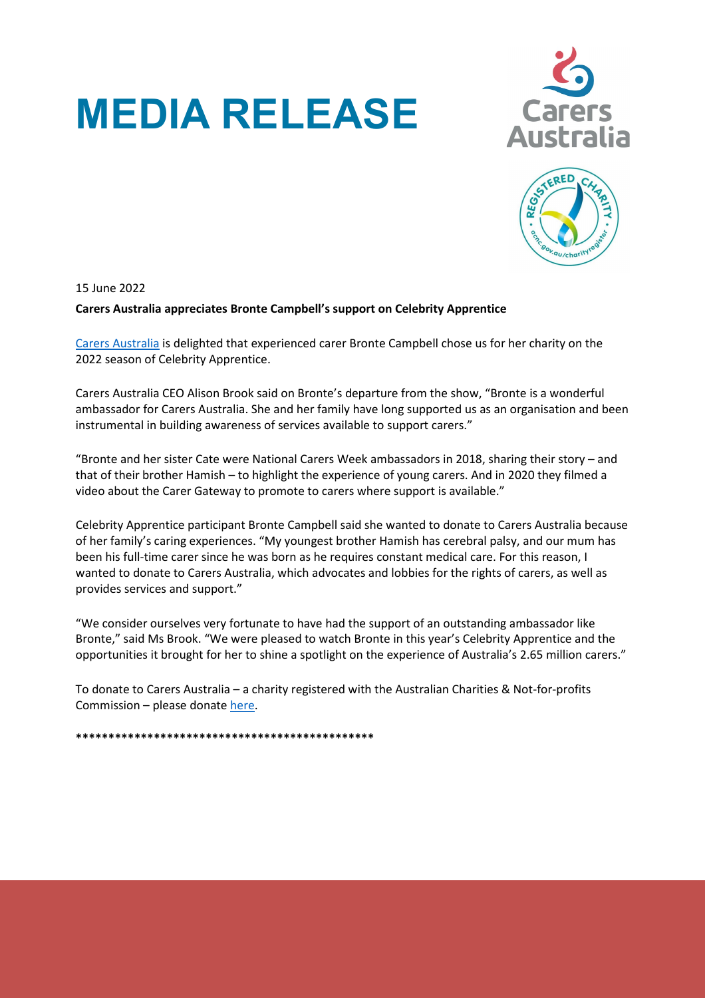## **MEDIA RELEASE**





15 June 2022

## **Carers Australia appreciates Bronte Campbell's support on Celebrity Apprentice**

[Carers Australia](https://www.carersaustralia.com.au/) is delighted that experienced carer Bronte Campbell chose us for her charity on the 2022 season of Celebrity Apprentice.

Carers Australia CEO Alison Brook said on Bronte's departure from the show, "Bronte is a wonderful ambassador for Carers Australia. She and her family have long supported us as an organisation and been instrumental in building awareness of services available to support carers."

"Bronte and her sister Cate were National Carers Week ambassadors in 2018, sharing their story – and that of their brother Hamish – to highlight the experience of young carers. And in 2020 they filmed a video about the Carer Gateway to promote to carers where support is available."

Celebrity Apprentice participant Bronte Campbell said she wanted to donate to Carers Australia because of her family's caring experiences. "My youngest brother Hamish has cerebral palsy, and our mum has been his full-time carer since he was born as he requires constant medical care. For this reason, I wanted to donate to Carers Australia, which advocates and lobbies for the rights of carers, as well as provides services and support."

"We consider ourselves very fortunate to have had the support of an outstanding ambassador like Bronte," said Ms Brook. "We were pleased to watch Bronte in this year's Celebrity Apprentice and the opportunities it brought for her to shine a spotlight on the experience of Australia's 2.65 million carers."

To donate to Carers Australia – a charity registered with the Australian Charities & Not-for-profits Commission – please donate [here.](https://www.carersaustralia.com.au/donate/)

**\*\*\*\*\*\*\*\*\*\*\*\*\*\*\*\*\*\*\*\*\*\*\*\*\*\*\*\*\*\*\*\*\*\*\*\*\*\*\*\*\*\*\*\*\*\***